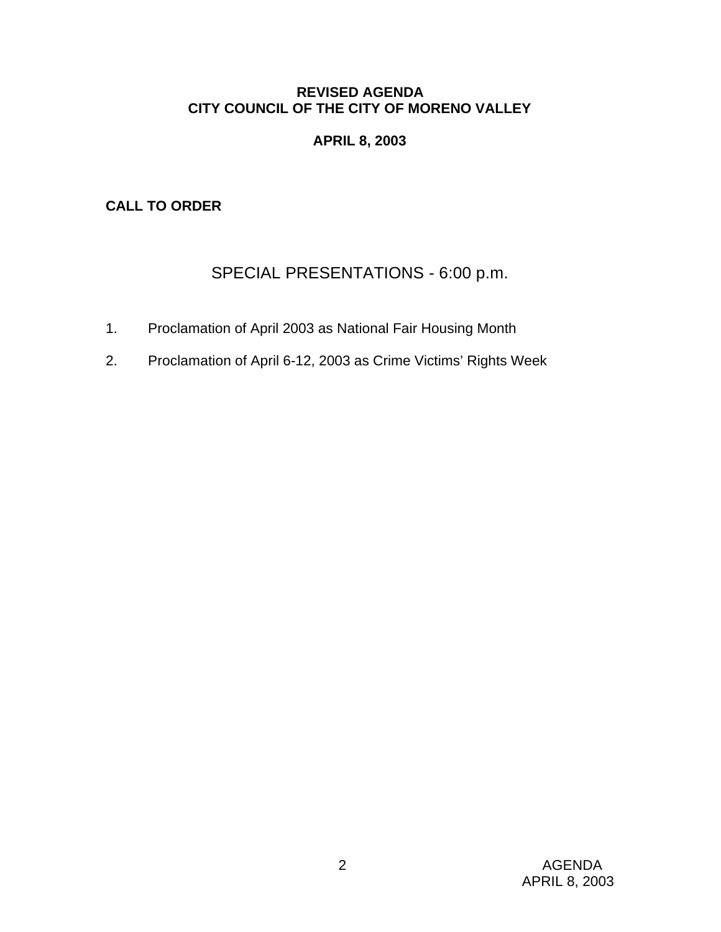# **REVISED AGENDA CITY COUNCIL OF THE CITY OF MORENO VALLEY**

# **APRIL 8, 2003**

**CALL TO ORDER**

# SPECIAL PRESENTATIONS - 6:00 p.m.

- 1. Proclamation of April 2003 as National Fair Housing Month
- 2. Proclamation of April 6-12, 2003 as Crime Victims' Rights Week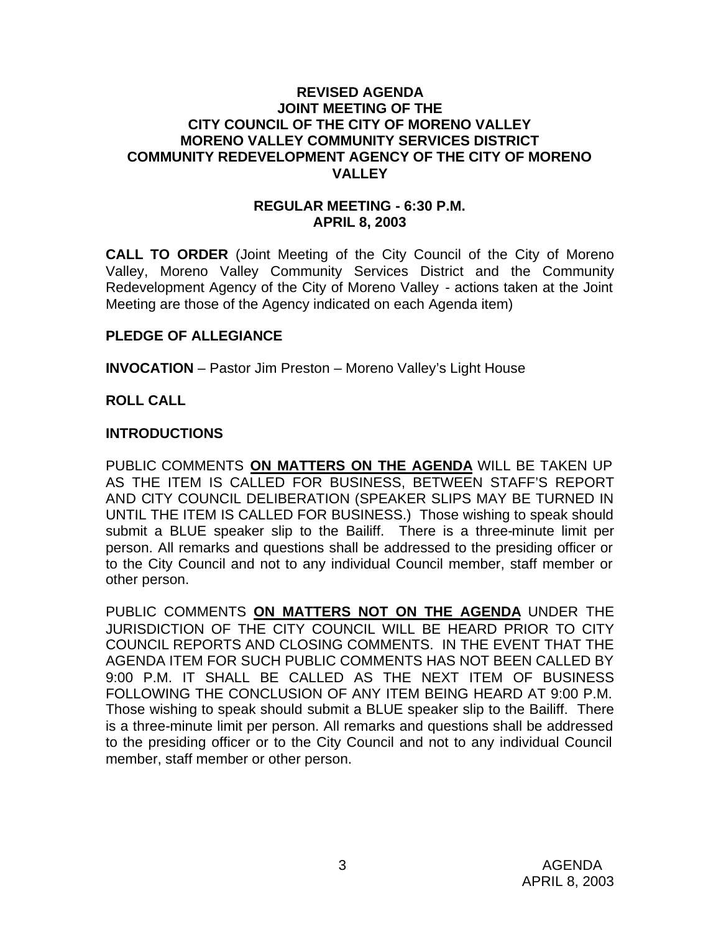#### **REVISED AGENDA JOINT MEETING OF THE CITY COUNCIL OF THE CITY OF MORENO VALLEY MORENO VALLEY COMMUNITY SERVICES DISTRICT COMMUNITY REDEVELOPMENT AGENCY OF THE CITY OF MORENO VALLEY**

#### **REGULAR MEETING - 6:30 P.M. APRIL 8, 2003**

**CALL TO ORDER** (Joint Meeting of the City Council of the City of Moreno Valley, Moreno Valley Community Services District and the Community Redevelopment Agency of the City of Moreno Valley - actions taken at the Joint Meeting are those of the Agency indicated on each Agenda item)

# **PLEDGE OF ALLEGIANCE**

**INVOCATION** – Pastor Jim Preston – Moreno Valley's Light House

### **ROLL CALL**

#### **INTRODUCTIONS**

PUBLIC COMMENTS **ON MATTERS ON THE AGENDA** WILL BE TAKEN UP AS THE ITEM IS CALLED FOR BUSINESS, BETWEEN STAFF'S REPORT AND CITY COUNCIL DELIBERATION (SPEAKER SLIPS MAY BE TURNED IN UNTIL THE ITEM IS CALLED FOR BUSINESS.) Those wishing to speak should submit a BLUE speaker slip to the Bailiff. There is a three-minute limit per person. All remarks and questions shall be addressed to the presiding officer or to the City Council and not to any individual Council member, staff member or other person.

PUBLIC COMMENTS **ON MATTERS NOT ON THE AGENDA** UNDER THE JURISDICTION OF THE CITY COUNCIL WILL BE HEARD PRIOR TO CITY COUNCIL REPORTS AND CLOSING COMMENTS. IN THE EVENT THAT THE AGENDA ITEM FOR SUCH PUBLIC COMMENTS HAS NOT BEEN CALLED BY 9:00 P.M. IT SHALL BE CALLED AS THE NEXT ITEM OF BUSINESS FOLLOWING THE CONCLUSION OF ANY ITEM BEING HEARD AT 9:00 P.M. Those wishing to speak should submit a BLUE speaker slip to the Bailiff. There is a three-minute limit per person. All remarks and questions shall be addressed to the presiding officer or to the City Council and not to any individual Council member, staff member or other person.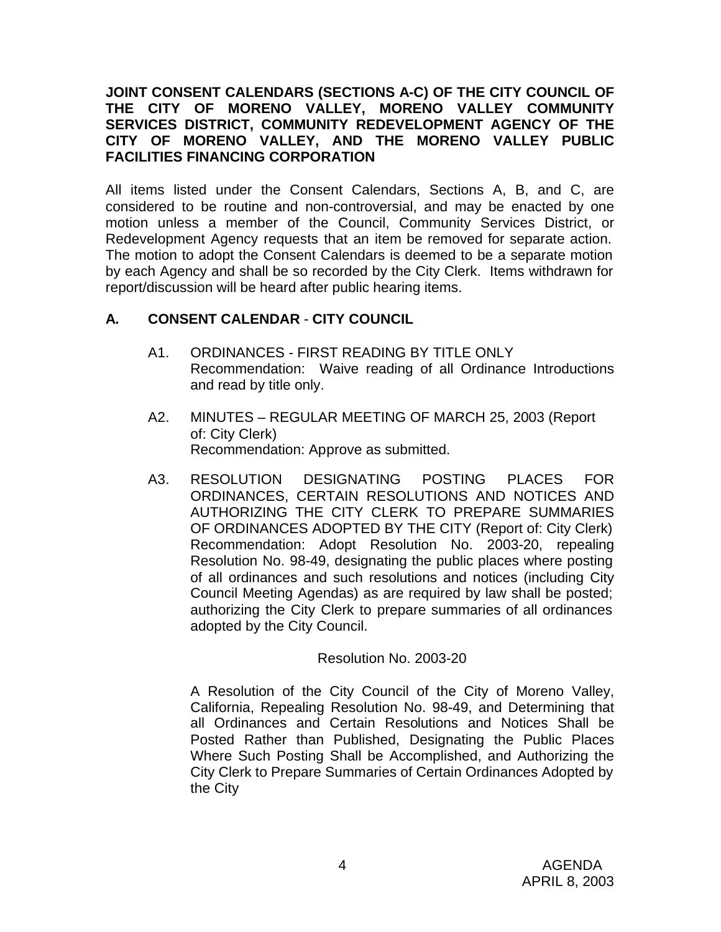### **JOINT CONSENT CALENDARS (SECTIONS A-C) OF THE CITY COUNCIL OF THE CITY OF MORENO VALLEY, MORENO VALLEY COMMUNITY SERVICES DISTRICT, COMMUNITY REDEVELOPMENT AGENCY OF THE CITY OF MORENO VALLEY, AND THE MORENO VALLEY PUBLIC FACILITIES FINANCING CORPORATION**

All items listed under the Consent Calendars, Sections A, B, and C, are considered to be routine and non-controversial, and may be enacted by one motion unless a member of the Council, Community Services District, or Redevelopment Agency requests that an item be removed for separate action. The motion to adopt the Consent Calendars is deemed to be a separate motion by each Agency and shall be so recorded by the City Clerk. Items withdrawn for report/discussion will be heard after public hearing items.

# **A. CONSENT CALENDAR** - **CITY COUNCIL**

- A1. ORDINANCES FIRST READING BY TITLE ONLY Recommendation: Waive reading of all Ordinance Introductions and read by title only.
- A2. MINUTES REGULAR MEETING OF MARCH 25, 2003 (Report of: City Clerk) Recommendation: Approve as submitted.
- A3. RESOLUTION DESIGNATING POSTING PLACES FOR ORDINANCES, CERTAIN RESOLUTIONS AND NOTICES AND AUTHORIZING THE CITY CLERK TO PREPARE SUMMARIES OF ORDINANCES ADOPTED BY THE CITY (Report of: City Clerk) Recommendation: Adopt Resolution No. 2003-20, repealing Resolution No. 98-49, designating the public places where posting of all ordinances and such resolutions and notices (including City Council Meeting Agendas) as are required by law shall be posted; authorizing the City Clerk to prepare summaries of all ordinances adopted by the City Council.

Resolution No. 2003-20

A Resolution of the City Council of the City of Moreno Valley, California, Repealing Resolution No. 98-49, and Determining that all Ordinances and Certain Resolutions and Notices Shall be Posted Rather than Published, Designating the Public Places Where Such Posting Shall be Accomplished, and Authorizing the City Clerk to Prepare Summaries of Certain Ordinances Adopted by the City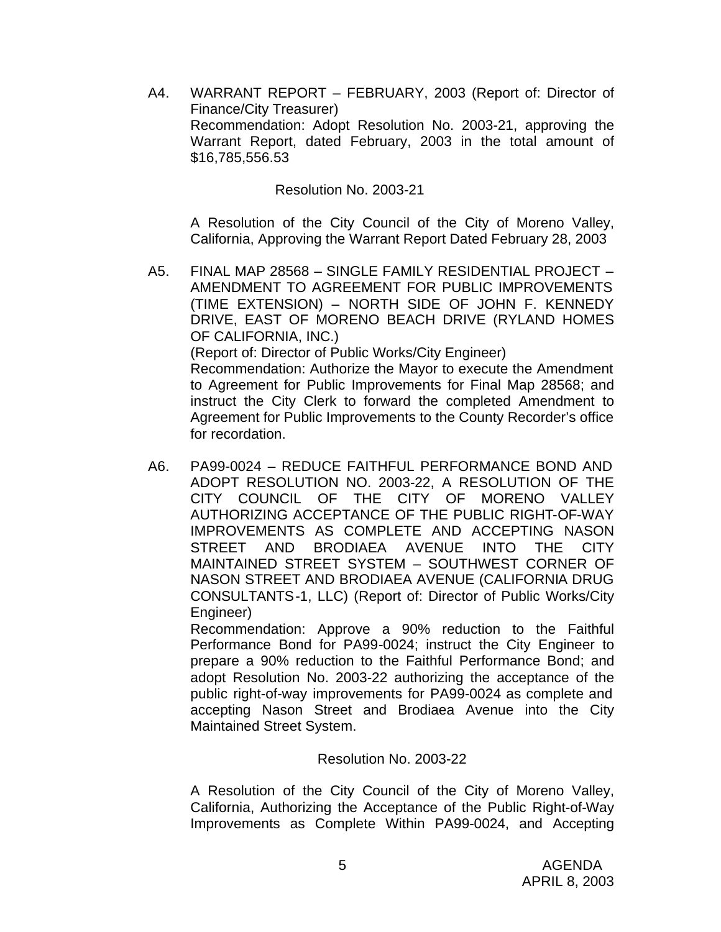A4. WARRANT REPORT – FEBRUARY, 2003 (Report of: Director of Finance/City Treasurer) Recommendation: Adopt Resolution No. 2003-21, approving the Warrant Report, dated February, 2003 in the total amount of \$16,785,556.53

#### Resolution No. 2003-21

A Resolution of the City Council of the City of Moreno Valley, California, Approving the Warrant Report Dated February 28, 2003

A5. FINAL MAP 28568 – SINGLE FAMILY RESIDENTIAL PROJECT – AMENDMENT TO AGREEMENT FOR PUBLIC IMPROVEMENTS (TIME EXTENSION) – NORTH SIDE OF JOHN F. KENNEDY DRIVE, EAST OF MORENO BEACH DRIVE (RYLAND HOMES OF CALIFORNIA, INC.) (Report of: Director of Public Works/City Engineer) Recommendation: Authorize the Mayor to execute the Amendment

to Agreement for Public Improvements for Final Map 28568; and instruct the City Clerk to forward the completed Amendment to Agreement for Public Improvements to the County Recorder's office for recordation.

A6. PA99-0024 – REDUCE FAITHFUL PERFORMANCE BOND AND ADOPT RESOLUTION NO. 2003-22, A RESOLUTION OF THE CITY COUNCIL OF THE CITY OF MORENO VALLEY AUTHORIZING ACCEPTANCE OF THE PUBLIC RIGHT-OF-WAY IMPROVEMENTS AS COMPLETE AND ACCEPTING NASON STREET AND BRODIAEA AVENUE INTO THE CITY MAINTAINED STREET SYSTEM – SOUTHWEST CORNER OF NASON STREET AND BRODIAEA AVENUE (CALIFORNIA DRUG CONSULTANTS-1, LLC) (Report of: Director of Public Works/City Engineer)

Recommendation: Approve a 90% reduction to the Faithful Performance Bond for PA99-0024; instruct the City Engineer to prepare a 90% reduction to the Faithful Performance Bond; and adopt Resolution No. 2003-22 authorizing the acceptance of the public right-of-way improvements for PA99-0024 as complete and accepting Nason Street and Brodiaea Avenue into the City Maintained Street System.

#### Resolution No. 2003-22

A Resolution of the City Council of the City of Moreno Valley, California, Authorizing the Acceptance of the Public Right-of-Way Improvements as Complete Within PA99-0024, and Accepting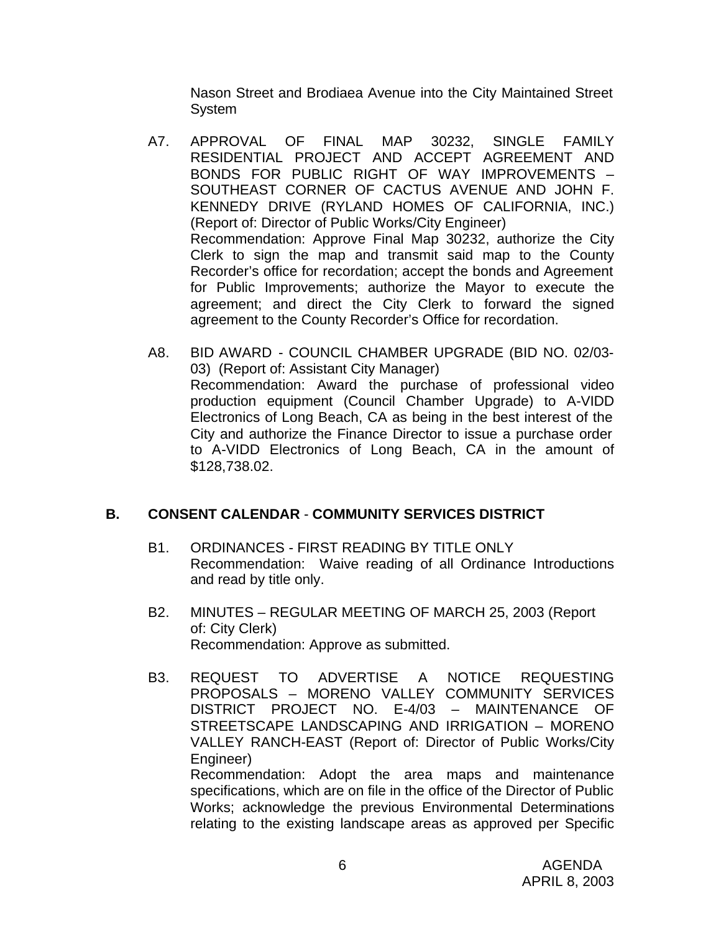Nason Street and Brodiaea Avenue into the City Maintained Street **System** 

- A7. APPROVAL OF FINAL MAP 30232, SINGLE FAMILY RESIDENTIAL PROJECT AND ACCEPT AGREEMENT AND BONDS FOR PUBLIC RIGHT OF WAY IMPROVEMENTS – SOUTHEAST CORNER OF CACTUS AVENUE AND JOHN F. KENNEDY DRIVE (RYLAND HOMES OF CALIFORNIA, INC.) (Report of: Director of Public Works/City Engineer) Recommendation: Approve Final Map 30232, authorize the City Clerk to sign the map and transmit said map to the County Recorder's office for recordation; accept the bonds and Agreement for Public Improvements; authorize the Mayor to execute the agreement; and direct the City Clerk to forward the signed agreement to the County Recorder's Office for recordation.
- A8. BID AWARD COUNCIL CHAMBER UPGRADE (BID NO. 02/03- 03) (Report of: Assistant City Manager) Recommendation: Award the purchase of professional video production equipment (Council Chamber Upgrade) to A-VIDD Electronics of Long Beach, CA as being in the best interest of the City and authorize the Finance Director to issue a purchase order to A-VIDD Electronics of Long Beach, CA in the amount of \$128,738.02.

# **B. CONSENT CALENDAR** - **COMMUNITY SERVICES DISTRICT**

- B1. ORDINANCES FIRST READING BY TITLE ONLY Recommendation: Waive reading of all Ordinance Introductions and read by title only.
- B2. MINUTES REGULAR MEETING OF MARCH 25, 2003 (Report of: City Clerk) Recommendation: Approve as submitted.
- B3. REQUEST TO ADVERTISE A NOTICE REQUESTING PROPOSALS – MORENO VALLEY COMMUNITY SERVICES DISTRICT PROJECT NO. E-4/03 – MAINTENANCE OF STREETSCAPE LANDSCAPING AND IRRIGATION – MORENO VALLEY RANCH-EAST (Report of: Director of Public Works/City Engineer) Recommendation: Adopt the area maps and maintenance

specifications, which are on file in the office of the Director of Public Works; acknowledge the previous Environmental Determinations relating to the existing landscape areas as approved per Specific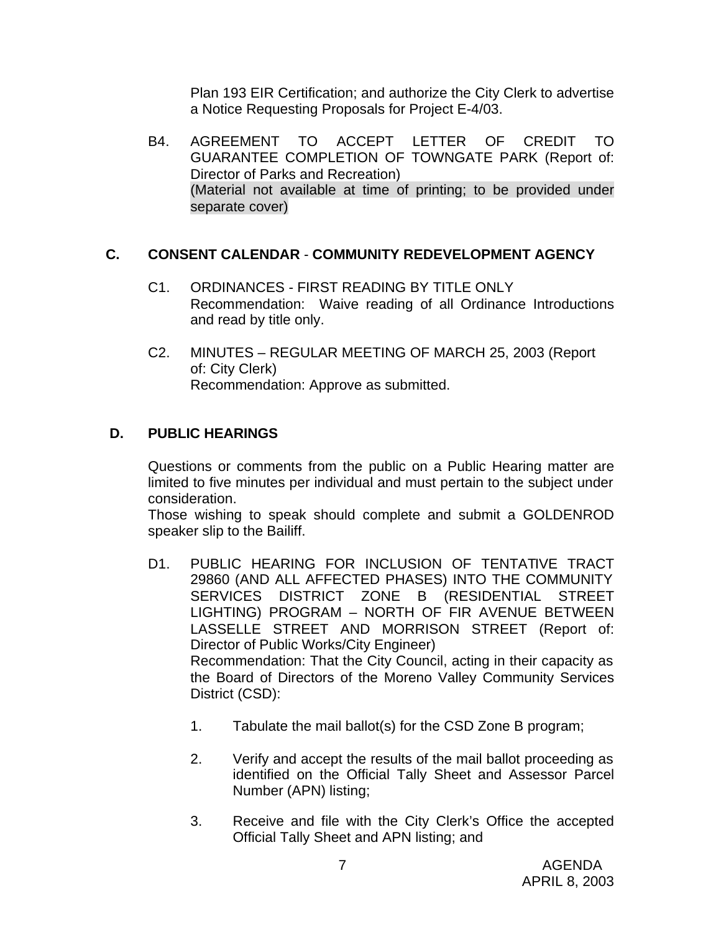Plan 193 EIR Certification; and authorize the City Clerk to advertise a Notice Requesting Proposals for Project E-4/03.

B4. AGREEMENT TO ACCEPT LETTER OF CREDIT TO GUARANTEE COMPLETION OF TOWNGATE PARK (Report of: Director of Parks and Recreation) (Material not available at time of printing; to be provided under separate cover)

# **C. CONSENT CALENDAR** - **COMMUNITY REDEVELOPMENT AGENCY**

- C1. ORDINANCES FIRST READING BY TITLE ONLY Recommendation: Waive reading of all Ordinance Introductions and read by title only.
- C2. MINUTES REGULAR MEETING OF MARCH 25, 2003 (Report of: City Clerk) Recommendation: Approve as submitted.

# **D. PUBLIC HEARINGS**

Questions or comments from the public on a Public Hearing matter are limited to five minutes per individual and must pertain to the subject under consideration.

Those wishing to speak should complete and submit a GOLDENROD speaker slip to the Bailiff.

- D1. PUBLIC HEARING FOR INCLUSION OF TENTATIVE TRACT 29860 (AND ALL AFFECTED PHASES) INTO THE COMMUNITY SERVICES DISTRICT ZONE B (RESIDENTIAL STREET LIGHTING) PROGRAM – NORTH OF FIR AVENUE BETWEEN LASSELLE STREET AND MORRISON STREET (Report of: Director of Public Works/City Engineer) Recommendation: That the City Council, acting in their capacity as the Board of Directors of the Moreno Valley Community Services District (CSD):
	- 1. Tabulate the mail ballot(s) for the CSD Zone B program;
	- 2. Verify and accept the results of the mail ballot proceeding as identified on the Official Tally Sheet and Assessor Parcel Number (APN) listing;
	- 3. Receive and file with the City Clerk's Office the accepted Official Tally Sheet and APN listing; and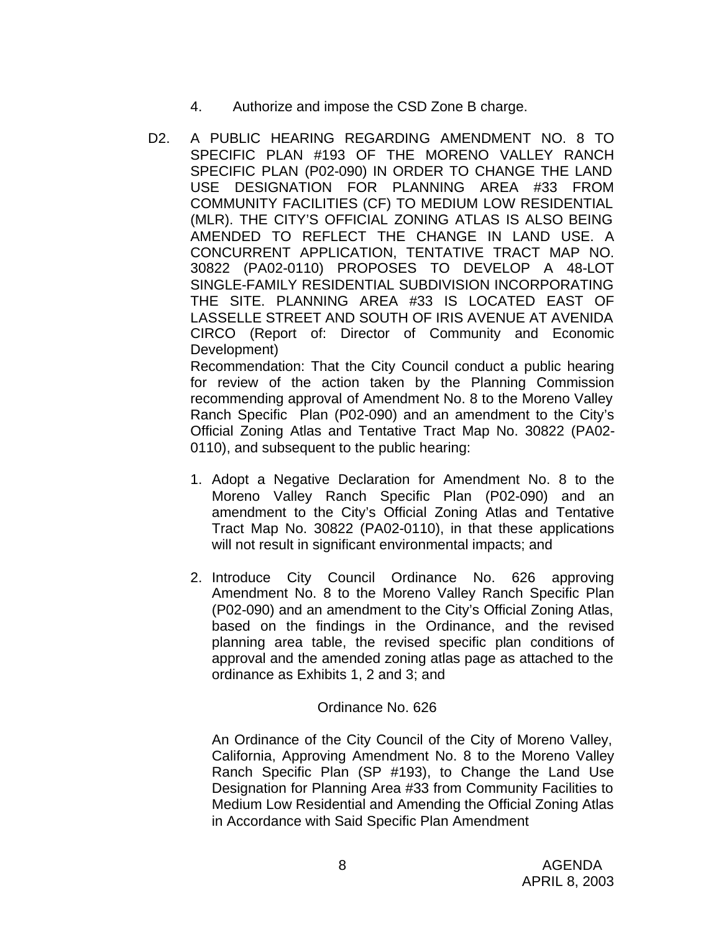- 4. Authorize and impose the CSD Zone B charge.
- D2. A PUBLIC HEARING REGARDING AMENDMENT NO. 8 TO SPECIFIC PLAN #193 OF THE MORENO VALLEY RANCH SPECIFIC PLAN (P02-090) IN ORDER TO CHANGE THE LAND USE DESIGNATION FOR PLANNING AREA #33 FROM COMMUNITY FACILITIES (CF) TO MEDIUM LOW RESIDENTIAL (MLR). THE CITY'S OFFICIAL ZONING ATLAS IS ALSO BEING AMENDED TO REFLECT THE CHANGE IN LAND USE. A CONCURRENT APPLICATION, TENTATIVE TRACT MAP NO. 30822 (PA02-0110) PROPOSES TO DEVELOP A 48-LOT SINGLE-FAMILY RESIDENTIAL SUBDIVISION INCORPORATING THE SITE. PLANNING AREA #33 IS LOCATED EAST OF LASSELLE STREET AND SOUTH OF IRIS AVENUE AT AVENIDA CIRCO (Report of: Director of Community and Economic Development) Recommendation: That the City Council conduct a public hearing

for review of the action taken by the Planning Commission recommending approval of Amendment No. 8 to the Moreno Valley Ranch Specific Plan (P02-090) and an amendment to the City's Official Zoning Atlas and Tentative Tract Map No. 30822 (PA02- 0110), and subsequent to the public hearing:

- 1. Adopt a Negative Declaration for Amendment No. 8 to the Moreno Valley Ranch Specific Plan (P02-090) and an amendment to the City's Official Zoning Atlas and Tentative Tract Map No. 30822 (PA02-0110), in that these applications will not result in significant environmental impacts; and
- 2. Introduce City Council Ordinance No. 626 approving Amendment No. 8 to the Moreno Valley Ranch Specific Plan (P02-090) and an amendment to the City's Official Zoning Atlas, based on the findings in the Ordinance, and the revised planning area table, the revised specific plan conditions of approval and the amended zoning atlas page as attached to the ordinance as Exhibits 1, 2 and 3; and

# Ordinance No. 626

An Ordinance of the City Council of the City of Moreno Valley, California, Approving Amendment No. 8 to the Moreno Valley Ranch Specific Plan (SP #193), to Change the Land Use Designation for Planning Area #33 from Community Facilities to Medium Low Residential and Amending the Official Zoning Atlas in Accordance with Said Specific Plan Amendment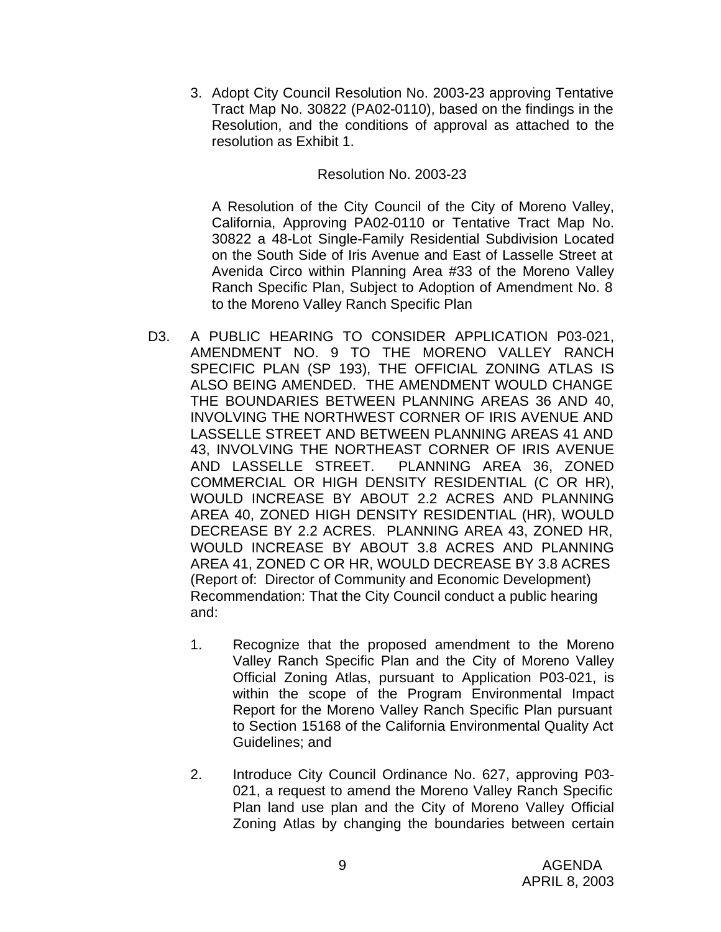3. Adopt City Council Resolution No. 2003-23 approving Tentative Tract Map No. 30822 (PA02-0110), based on the findings in the Resolution, and the conditions of approval as attached to the resolution as Exhibit 1.

#### Resolution No. 2003-23

A Resolution of the City Council of the City of Moreno Valley, California, Approving PA02-0110 or Tentative Tract Map No. 30822 a 48-Lot Single-Family Residential Subdivision Located on the South Side of Iris Avenue and East of Lasselle Street at Avenida Circo within Planning Area #33 of the Moreno Valley Ranch Specific Plan, Subject to Adoption of Amendment No. 8 to the Moreno Valley Ranch Specific Plan

- D3. A PUBLIC HEARING TO CONSIDER APPLICATION P03-021, AMENDMENT NO. 9 TO THE MORENO VALLEY RANCH SPECIFIC PLAN (SP 193), THE OFFICIAL ZONING ATLAS IS ALSO BEING AMENDED. THE AMENDMENT WOULD CHANGE THE BOUNDARIES BETWEEN PLANNING AREAS 36 AND 40, INVOLVING THE NORTHWEST CORNER OF IRIS AVENUE AND LASSELLE STREET AND BETWEEN PLANNING AREAS 41 AND 43, INVOLVING THE NORTHEAST CORNER OF IRIS AVENUE AND LASSELLE STREET. PLANNING AREA 36, ZONED COMMERCIAL OR HIGH DENSITY RESIDENTIAL (C OR HR), WOULD INCREASE BY ABOUT 2.2 ACRES AND PLANNING AREA 40, ZONED HIGH DENSITY RESIDENTIAL (HR), WOULD DECREASE BY 2.2 ACRES. PLANNING AREA 43, ZONED HR, WOULD INCREASE BY ABOUT 3.8 ACRES AND PLANNING AREA 41, ZONED C OR HR, WOULD DECREASE BY 3.8 ACRES (Report of: Director of Community and Economic Development) Recommendation: That the City Council conduct a public hearing and:
	- 1. Recognize that the proposed amendment to the Moreno Valley Ranch Specific Plan and the City of Moreno Valley Official Zoning Atlas, pursuant to Application P03-021, is within the scope of the Program Environmental Impact Report for the Moreno Valley Ranch Specific Plan pursuant to Section 15168 of the California Environmental Quality Act Guidelines; and
	- 2. Introduce City Council Ordinance No. 627, approving P03- 021, a request to amend the Moreno Valley Ranch Specific Plan land use plan and the City of Moreno Valley Official Zoning Atlas by changing the boundaries between certain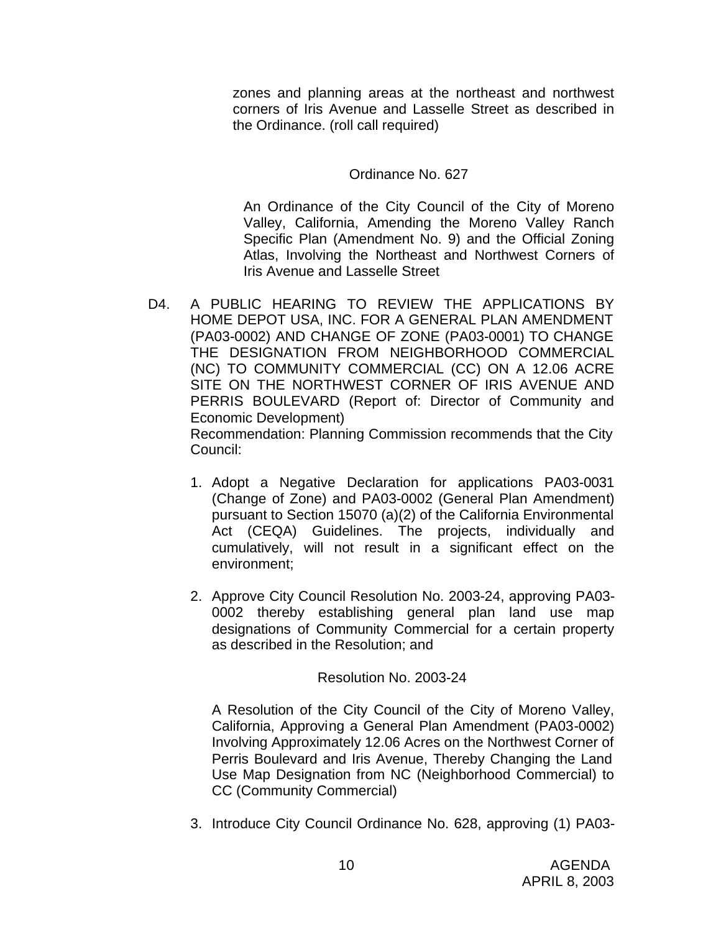zones and planning areas at the northeast and northwest corners of Iris Avenue and Lasselle Street as described in the Ordinance. (roll call required)

### Ordinance No. 627

An Ordinance of the City Council of the City of Moreno Valley, California, Amending the Moreno Valley Ranch Specific Plan (Amendment No. 9) and the Official Zoning Atlas, Involving the Northeast and Northwest Corners of Iris Avenue and Lasselle Street

D4. A PUBLIC HEARING TO REVIEW THE APPLICATIONS BY HOME DEPOT USA, INC. FOR A GENERAL PLAN AMENDMENT (PA03-0002) AND CHANGE OF ZONE (PA03-0001) TO CHANGE THE DESIGNATION FROM NEIGHBORHOOD COMMERCIAL (NC) TO COMMUNITY COMMERCIAL (CC) ON A 12.06 ACRE SITE ON THE NORTHWEST CORNER OF IRIS AVENUE AND PERRIS BOULEVARD (Report of: Director of Community and Economic Development) Recommendation: Planning Commission recommends that the City

Council:

- 1. Adopt a Negative Declaration for applications PA03-0031 (Change of Zone) and PA03-0002 (General Plan Amendment) pursuant to Section 15070 (a)(2) of the California Environmental Act (CEQA) Guidelines. The projects, individually and cumulatively, will not result in a significant effect on the environment;
- 2. Approve City Council Resolution No. 2003-24, approving PA03- 0002 thereby establishing general plan land use map designations of Community Commercial for a certain property as described in the Resolution; and

Resolution No. 2003-24

A Resolution of the City Council of the City of Moreno Valley, California, Approving a General Plan Amendment (PA03-0002) Involving Approximately 12.06 Acres on the Northwest Corner of Perris Boulevard and Iris Avenue, Thereby Changing the Land Use Map Designation from NC (Neighborhood Commercial) to CC (Community Commercial)

3. Introduce City Council Ordinance No. 628, approving (1) PA03-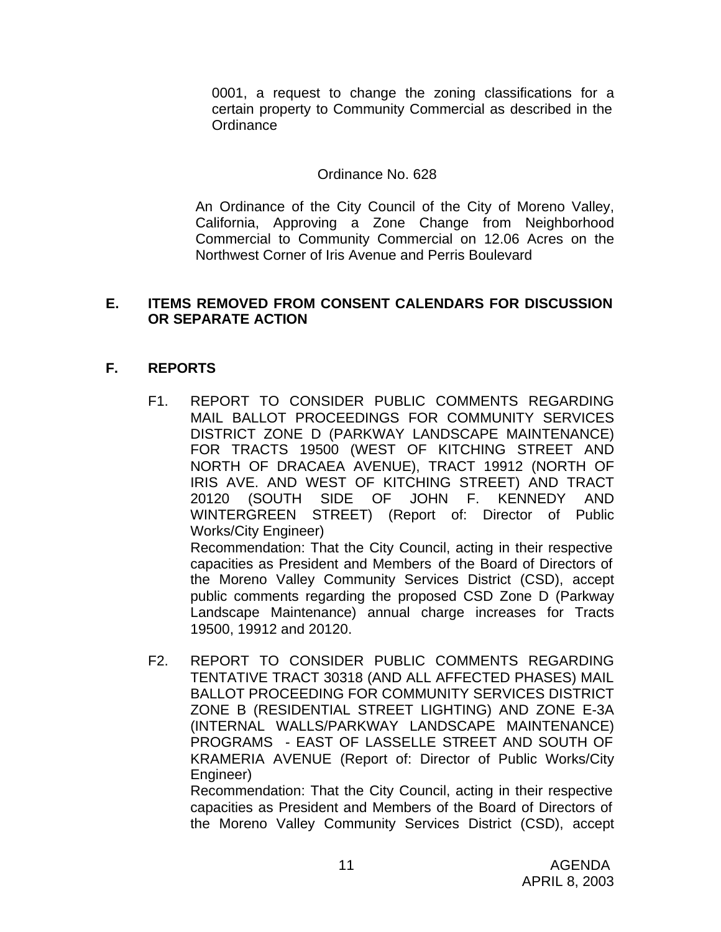0001, a request to change the zoning classifications for a certain property to Community Commercial as described in the **Ordinance** 

#### Ordinance No. 628

An Ordinance of the City Council of the City of Moreno Valley, California, Approving a Zone Change from Neighborhood Commercial to Community Commercial on 12.06 Acres on the Northwest Corner of Iris Avenue and Perris Boulevard

#### **E. ITEMS REMOVED FROM CONSENT CALENDARS FOR DISCUSSION OR SEPARATE ACTION**

# **F. REPORTS**

F1. REPORT TO CONSIDER PUBLIC COMMENTS REGARDING MAIL BALLOT PROCEEDINGS FOR COMMUNITY SERVICES DISTRICT ZONE D (PARKWAY LANDSCAPE MAINTENANCE) FOR TRACTS 19500 (WEST OF KITCHING STREET AND NORTH OF DRACAEA AVENUE), TRACT 19912 (NORTH OF IRIS AVE. AND WEST OF KITCHING STREET) AND TRACT 20120 (SOUTH SIDE OF JOHN F. KENNEDY AND WINTERGREEN STREET) (Report of: Director of Public Works/City Engineer) Recommendation: That the City Council, acting in their respective

capacities as President and Members of the Board of Directors of the Moreno Valley Community Services District (CSD), accept public comments regarding the proposed CSD Zone D (Parkway Landscape Maintenance) annual charge increases for Tracts 19500, 19912 and 20120.

F2. REPORT TO CONSIDER PUBLIC COMMENTS REGARDING TENTATIVE TRACT 30318 (AND ALL AFFECTED PHASES) MAIL BALLOT PROCEEDING FOR COMMUNITY SERVICES DISTRICT ZONE B (RESIDENTIAL STREET LIGHTING) AND ZONE E-3A (INTERNAL WALLS/PARKWAY LANDSCAPE MAINTENANCE) PROGRAMS - EAST OF LASSELLE STREET AND SOUTH OF KRAMERIA AVENUE (Report of: Director of Public Works/City Engineer)

Recommendation: That the City Council, acting in their respective capacities as President and Members of the Board of Directors of the Moreno Valley Community Services District (CSD), accept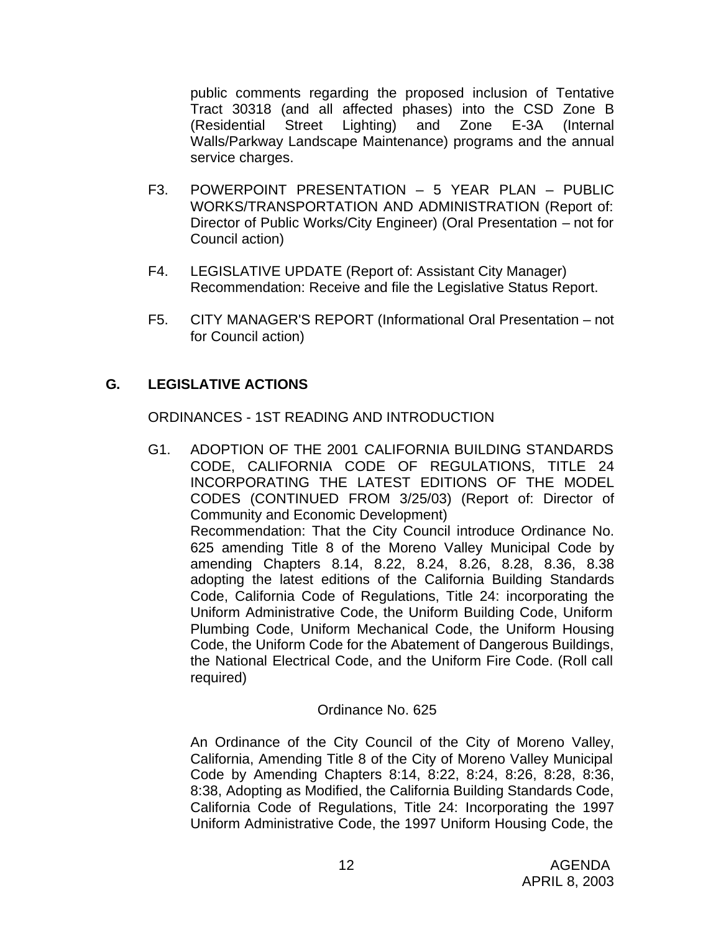public comments regarding the proposed inclusion of Tentative Tract 30318 (and all affected phases) into the CSD Zone B (Residential Street Lighting) and Zone E-3A (Internal Walls/Parkway Landscape Maintenance) programs and the annual service charges.

- F3. POWERPOINT PRESENTATION 5 YEAR PLAN PUBLIC WORKS/TRANSPORTATION AND ADMINISTRATION (Report of: Director of Public Works/City Engineer) (Oral Presentation – not for Council action)
- F4. LEGISLATIVE UPDATE (Report of: Assistant City Manager) Recommendation: Receive and file the Legislative Status Report.
- F5. CITY MANAGER'S REPORT (Informational Oral Presentation not for Council action)

# **G. LEGISLATIVE ACTIONS**

ORDINANCES - 1ST READING AND INTRODUCTION

G1. ADOPTION OF THE 2001 CALIFORNIA BUILDING STANDARDS CODE, CALIFORNIA CODE OF REGULATIONS, TITLE 24 INCORPORATING THE LATEST EDITIONS OF THE MODEL CODES (CONTINUED FROM 3/25/03) (Report of: Director of Community and Economic Development) Recommendation: That the City Council introduce Ordinance No. 625 amending Title 8 of the Moreno Valley Municipal Code by amending Chapters 8.14, 8.22, 8.24, 8.26, 8.28, 8.36, 8.38 adopting the latest editions of the California Building Standards Code, California Code of Regulations, Title 24: incorporating the Uniform Administrative Code, the Uniform Building Code, Uniform Plumbing Code, Uniform Mechanical Code, the Uniform Housing Code, the Uniform Code for the Abatement of Dangerous Buildings, the National Electrical Code, and the Uniform Fire Code. (Roll call required)

# Ordinance No. 625

An Ordinance of the City Council of the City of Moreno Valley, California, Amending Title 8 of the City of Moreno Valley Municipal Code by Amending Chapters 8:14, 8:22, 8:24, 8:26, 8:28, 8:36, 8:38, Adopting as Modified, the California Building Standards Code, California Code of Regulations, Title 24: Incorporating the 1997 Uniform Administrative Code, the 1997 Uniform Housing Code, the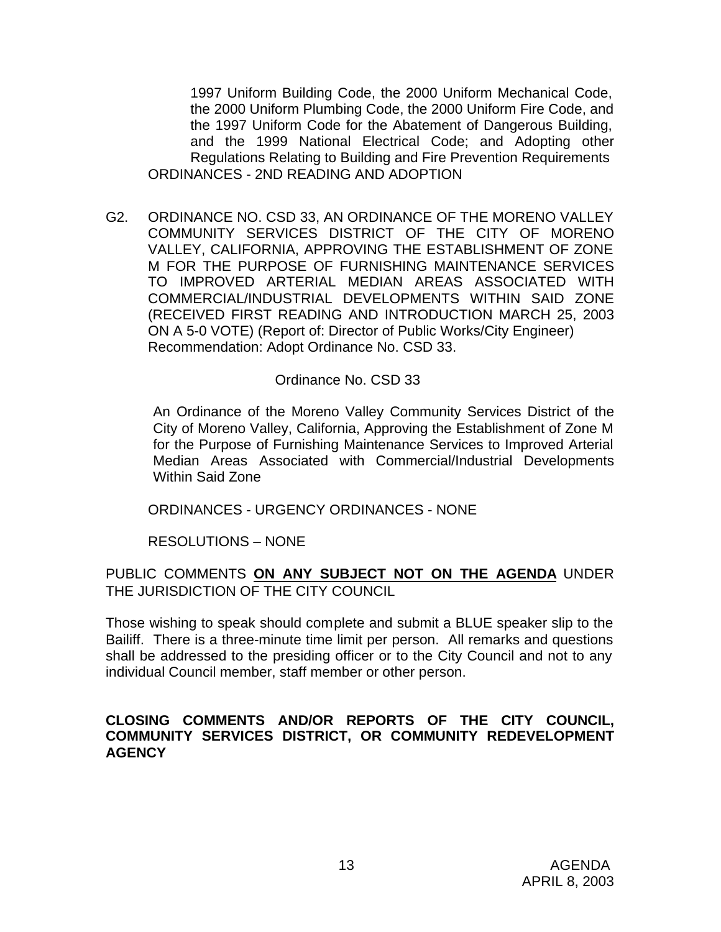1997 Uniform Building Code, the 2000 Uniform Mechanical Code, the 2000 Uniform Plumbing Code, the 2000 Uniform Fire Code, and the 1997 Uniform Code for the Abatement of Dangerous Building, and the 1999 National Electrical Code; and Adopting other Regulations Relating to Building and Fire Prevention Requirements ORDINANCES - 2ND READING AND ADOPTION

G2. ORDINANCE NO. CSD 33, AN ORDINANCE OF THE MORENO VALLEY COMMUNITY SERVICES DISTRICT OF THE CITY OF MORENO VALLEY, CALIFORNIA, APPROVING THE ESTABLISHMENT OF ZONE M FOR THE PURPOSE OF FURNISHING MAINTENANCE SERVICES TO IMPROVED ARTERIAL MEDIAN AREAS ASSOCIATED WITH COMMERCIAL/INDUSTRIAL DEVELOPMENTS WITHIN SAID ZONE (RECEIVED FIRST READING AND INTRODUCTION MARCH 25, 2003 ON A 5-0 VOTE) (Report of: Director of Public Works/City Engineer) Recommendation: Adopt Ordinance No. CSD 33.

#### Ordinance No. CSD 33

An Ordinance of the Moreno Valley Community Services District of the City of Moreno Valley, California, Approving the Establishment of Zone M for the Purpose of Furnishing Maintenance Services to Improved Arterial Median Areas Associated with Commercial/Industrial Developments Within Said Zone

ORDINANCES - URGENCY ORDINANCES - NONE

RESOLUTIONS – NONE

PUBLIC COMMENTS **ON ANY SUBJECT NOT ON THE AGENDA** UNDER THE JURISDICTION OF THE CITY COUNCIL

Those wishing to speak should complete and submit a BLUE speaker slip to the Bailiff. There is a three-minute time limit per person. All remarks and questions shall be addressed to the presiding officer or to the City Council and not to any individual Council member, staff member or other person.

#### **CLOSING COMMENTS AND/OR REPORTS OF THE CITY COUNCIL, COMMUNITY SERVICES DISTRICT, OR COMMUNITY REDEVELOPMENT AGENCY**